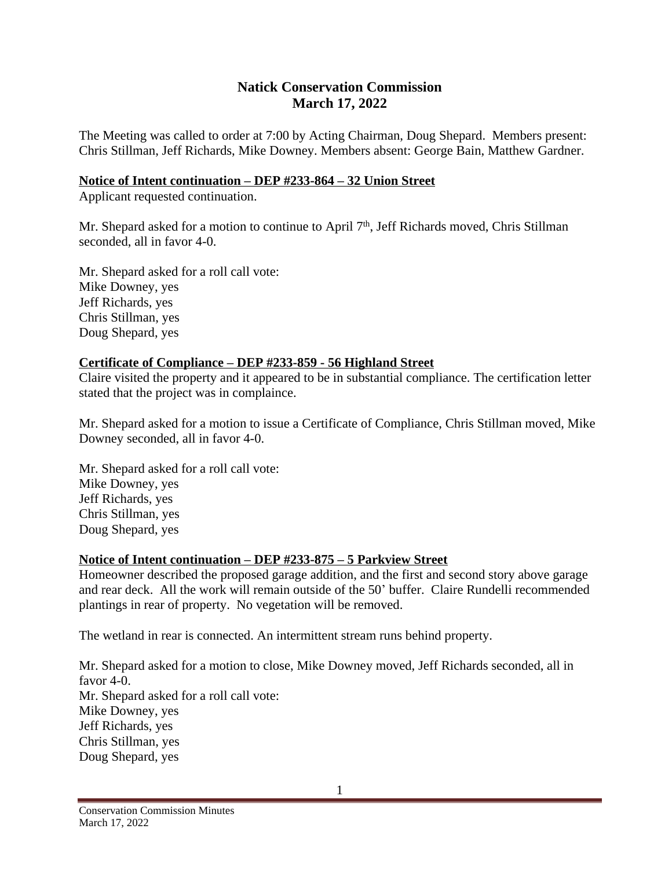# **Natick Conservation Commission March 17, 2022**

The Meeting was called to order at 7:00 by Acting Chairman, Doug Shepard. Members present: Chris Stillman, Jeff Richards, Mike Downey. Members absent: George Bain, Matthew Gardner.

#### **Notice of Intent continuation – DEP #233-864 – 32 Union Street**

Applicant requested continuation.

Mr. Shepard asked for a motion to continue to April 7<sup>th</sup>, Jeff Richards moved, Chris Stillman seconded, all in favor 4-0.

Mr. Shepard asked for a roll call vote: Mike Downey, yes Jeff Richards, yes Chris Stillman, yes Doug Shepard, yes

### **Certificate of Compliance – DEP #233-859 - 56 Highland Street**

Claire visited the property and it appeared to be in substantial compliance. The certification letter stated that the project was in complaince.

Mr. Shepard asked for a motion to issue a Certificate of Compliance, Chris Stillman moved, Mike Downey seconded, all in favor 4-0.

Mr. Shepard asked for a roll call vote: Mike Downey, yes Jeff Richards, yes Chris Stillman, yes Doug Shepard, yes

### **Notice of Intent continuation – DEP #233-875 – 5 Parkview Street**

Homeowner described the proposed garage addition, and the first and second story above garage and rear deck. All the work will remain outside of the 50' buffer. Claire Rundelli recommended plantings in rear of property. No vegetation will be removed.

The wetland in rear is connected. An intermittent stream runs behind property.

Mr. Shepard asked for a motion to close, Mike Downey moved, Jeff Richards seconded, all in favor 4-0. Mr. Shepard asked for a roll call vote: Mike Downey, yes Jeff Richards, yes Chris Stillman, yes Doug Shepard, yes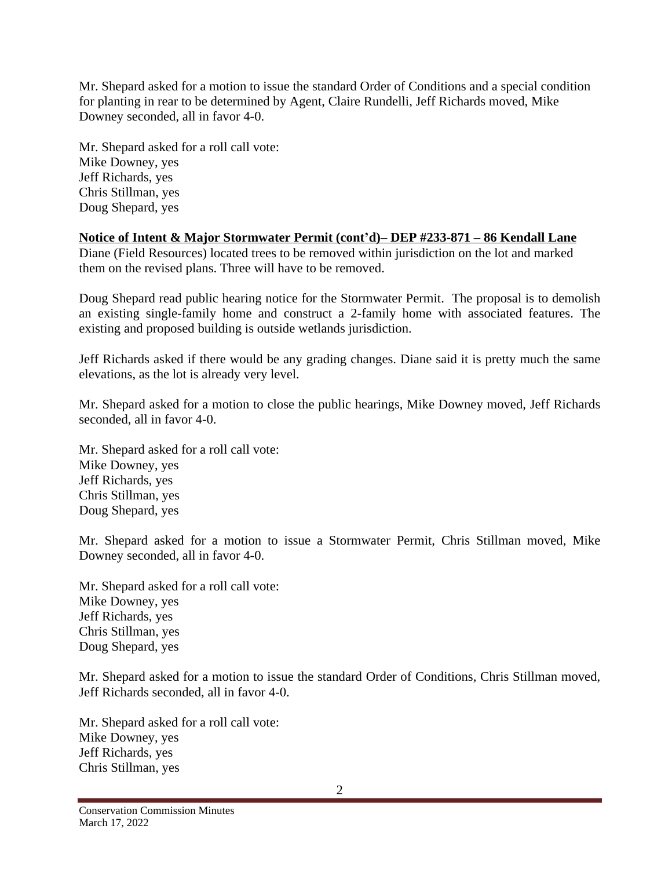Mr. Shepard asked for a motion to issue the standard Order of Conditions and a special condition for planting in rear to be determined by Agent, Claire Rundelli, Jeff Richards moved, Mike Downey seconded, all in favor 4-0.

Mr. Shepard asked for a roll call vote: Mike Downey, yes Jeff Richards, yes Chris Stillman, yes Doug Shepard, yes

**Notice of Intent & Major Stormwater Permit (cont'd)– DEP #233-871 – 86 Kendall Lane** Diane (Field Resources) located trees to be removed within jurisdiction on the lot and marked them on the revised plans. Three will have to be removed.

Doug Shepard read public hearing notice for the Stormwater Permit. The proposal is to demolish an existing single-family home and construct a 2-family home with associated features. The existing and proposed building is outside wetlands jurisdiction.

Jeff Richards asked if there would be any grading changes. Diane said it is pretty much the same elevations, as the lot is already very level.

Mr. Shepard asked for a motion to close the public hearings, Mike Downey moved, Jeff Richards seconded, all in favor 4-0.

Mr. Shepard asked for a roll call vote: Mike Downey, yes Jeff Richards, yes Chris Stillman, yes Doug Shepard, yes

Mr. Shepard asked for a motion to issue a Stormwater Permit, Chris Stillman moved, Mike Downey seconded, all in favor 4-0.

Mr. Shepard asked for a roll call vote: Mike Downey, yes Jeff Richards, yes Chris Stillman, yes Doug Shepard, yes

Mr. Shepard asked for a motion to issue the standard Order of Conditions, Chris Stillman moved, Jeff Richards seconded, all in favor 4-0.

Mr. Shepard asked for a roll call vote: Mike Downey, yes Jeff Richards, yes Chris Stillman, yes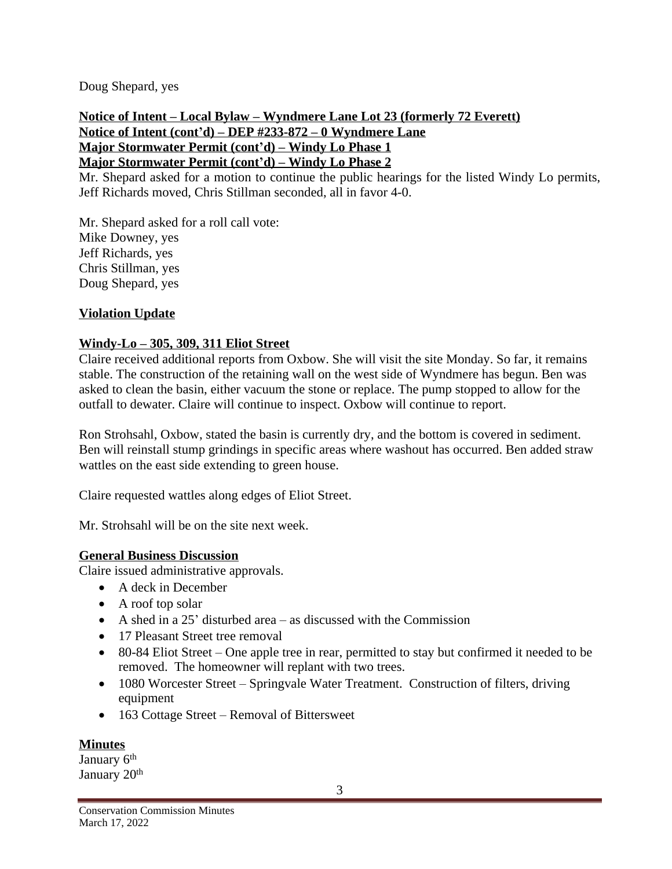Doug Shepard, yes

**Notice of Intent – Local Bylaw – Wyndmere Lane Lot 23 (formerly 72 Everett) Notice of Intent (cont'd) – DEP #233-872 – 0 Wyndmere Lane Major Stormwater Permit (cont'd) – Windy Lo Phase 1 Major Stormwater Permit (cont'd) – Windy Lo Phase 2**

Mr. Shepard asked for a motion to continue the public hearings for the listed Windy Lo permits, Jeff Richards moved, Chris Stillman seconded, all in favor 4-0.

Mr. Shepard asked for a roll call vote: Mike Downey, yes Jeff Richards, yes Chris Stillman, yes Doug Shepard, yes

# **Violation Update**

### **Windy-Lo – 305, 309, 311 Eliot Street**

Claire received additional reports from Oxbow. She will visit the site Monday. So far, it remains stable. The construction of the retaining wall on the west side of Wyndmere has begun. Ben was asked to clean the basin, either vacuum the stone or replace. The pump stopped to allow for the outfall to dewater. Claire will continue to inspect. Oxbow will continue to report.

Ron Strohsahl, Oxbow, stated the basin is currently dry, and the bottom is covered in sediment. Ben will reinstall stump grindings in specific areas where washout has occurred. Ben added straw wattles on the east side extending to green house.

Claire requested wattles along edges of Eliot Street.

Mr. Strohsahl will be on the site next week.

### **General Business Discussion**

Claire issued administrative approvals.

- A deck in December
- A roof top solar
- A shed in a 25' disturbed area  $-$  as discussed with the Commission
- 17 Pleasant Street tree removal
- 80-84 Eliot Street One apple tree in rear, permitted to stay but confirmed it needed to be removed. The homeowner will replant with two trees.
- 1080 Worcester Street Springvale Water Treatment. Construction of filters, driving equipment
- 163 Cottage Street Removal of Bittersweet

### **Minutes**

January 6<sup>th</sup> January 20<sup>th</sup>